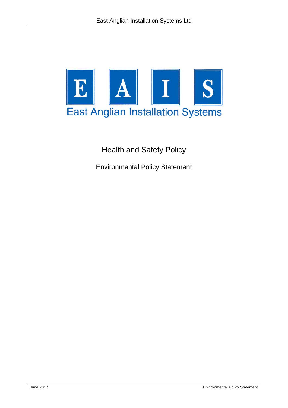

Health and Safety Policy

Environmental Policy Statement